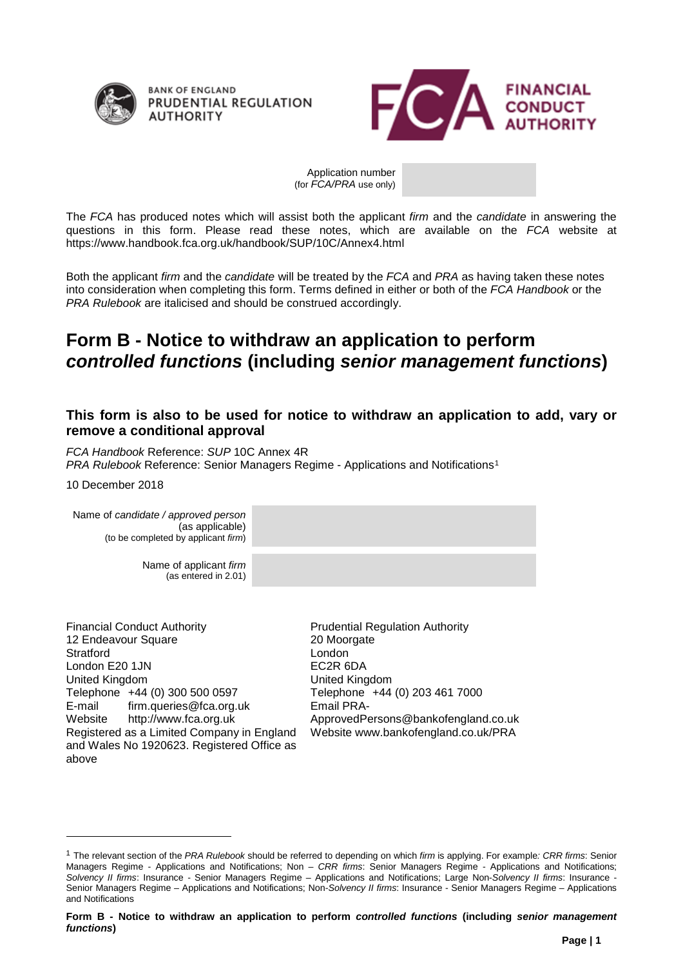

**BANK OF ENGLAND** PRUDENTIAL REGULATION **AUTHORITY** 



Application number (for *FCA/PRA* use only)

The *FCA* has produced notes which will assist both the applicant *firm* and the *candidate* in answering the questions in this form. Please read these notes, which are available on the *FCA* website at https://www.handbook.fca.org.uk/handbook/SUP/10C/Annex4.html

Both the applicant *firm* and the *candidate* will be treated by the *FCA* and *PRA* as having taken these notes into consideration when completing this form. Terms defined in either or both of the *FCA Handbook* or the *PRA Rulebook* are italicised and should be construed accordingly.

# **Form B - Notice to withdraw an application to perform**  *controlled functions* **(including** *senior management functions***)**

## **This form is also to be used for notice to withdraw an application to add, vary or remove a conditional approval**

*FCA Handbook* Reference: *SUP* 10C Annex 4R

**PRA Rulebook Reference: Senior Managers Regime - Applications and Notifications<sup>[1](#page-0-0)</sup>** 

10 December 2018

-

Name of *candidate / approved person* (as applicable) (to be completed by applicant *firm*) Name of applicant *firm* (as entered in 2.01)

Financial Conduct Authority 12 Endeavour Square **Stratford** London E20 1JN United Kingdom Telephone +44 (0) 300 500 0597 E-mail firm.queries@fca.org.uk Website http://www.fca.org.uk Registered as a Limited Company in England and Wales No 1920623. Registered Office as above

Prudential Regulation Authority 20 Moorgate London EC2R 6DA United Kingdom Telephone +44 (0) 203 461 7000 Email PRA-ApprovedPersons@bankofengland.co.uk Website www.bankofengland.co.uk/PRA

<span id="page-0-0"></span><sup>1</sup> The relevant section of the *PRA Rulebook* should be referred to depending on which *firm* is applying. For example*: CRR firms*: Senior Managers Regime - Applications and Notifications; Non – *CRR firms*: Senior Managers Regime - Applications and Notifications; *Solvency II firms*: Insurance - Senior Managers Regime – Applications and Notifications; Large Non-*Solvency II firms*: Insurance - Senior Managers Regime – Applications and Notifications; Non-*Solvency II firms*: Insurance - Senior Managers Regime – Applications and Notifications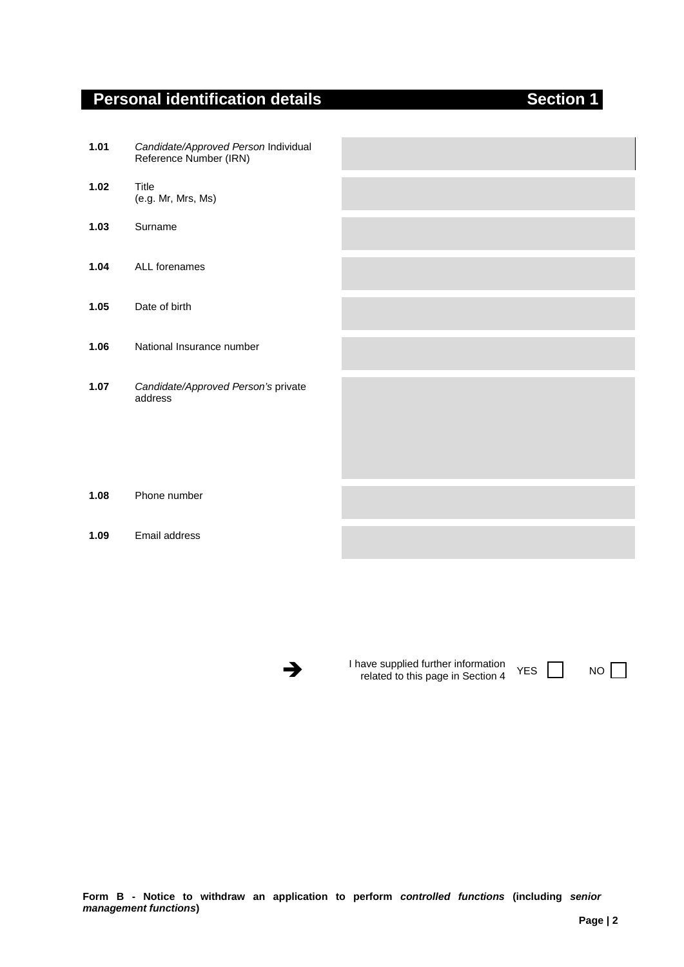# **Personal identification details Access 20 Section 1**

| 1.01 | Candidate/Approved Person Individual<br>Reference Number (IRN) |  |
|------|----------------------------------------------------------------|--|
| 1.02 | Title<br>(e.g. Mr, Mrs, Ms)                                    |  |
| 1.03 | Surname                                                        |  |
| 1.04 | ALL forenames                                                  |  |
| 1.05 | Date of birth                                                  |  |
| 1.06 | National Insurance number                                      |  |
| 1.07 | Candidate/Approved Person's private<br>address                 |  |

### **1.08** Phone number

### **1.09** Email address

Thave supplied further information<br>
related to this page in Section 4 YES NO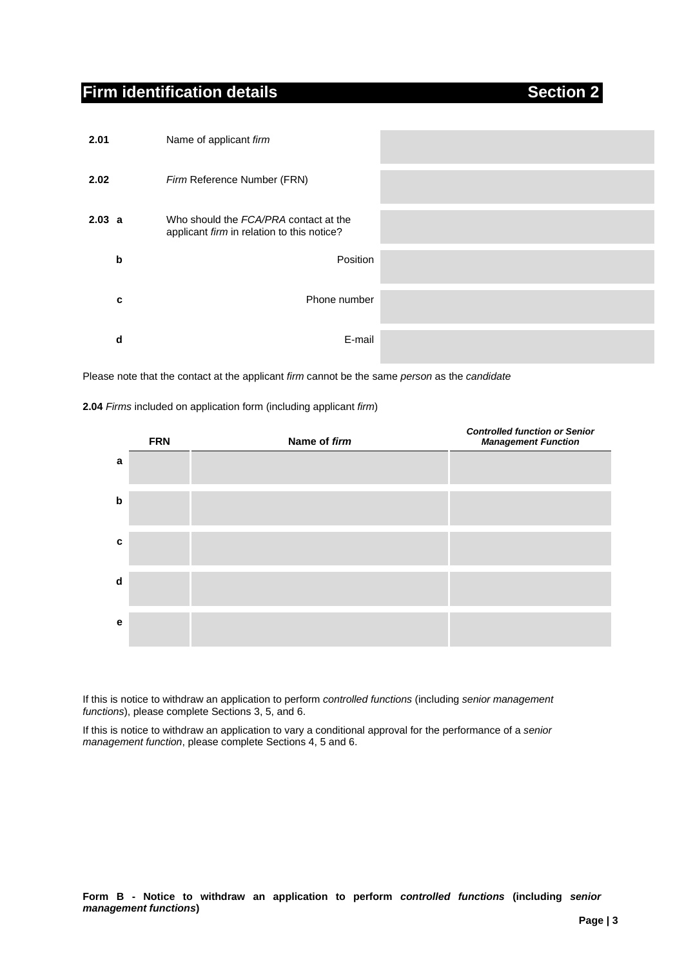# **Firm identification details Section 2**

| 2.01   | Name of applicant firm                                                              |
|--------|-------------------------------------------------------------------------------------|
| 2.02   | Firm Reference Number (FRN)                                                         |
| 2.03 a | Who should the FCA/PRA contact at the<br>applicant firm in relation to this notice? |
| b      | Position                                                                            |
| c      | Phone number                                                                        |
| d      | E-mail                                                                              |

Please note that the contact at the applicant *firm* cannot be the same *person* as the *candidate*

### **2.04** *Firms* included on application form (including applicant *firm*)

|   | <b>FRN</b> | Name of firm | <b>Controlled function or Senior</b><br><b>Management Function</b> |
|---|------------|--------------|--------------------------------------------------------------------|
| a |            |              |                                                                    |
| b |            |              |                                                                    |
| c |            |              |                                                                    |
| d |            |              |                                                                    |
| е |            |              |                                                                    |

If this is notice to withdraw an application to perform *controlled functions* (including *senior management functions*), please complete Sections 3, 5, and 6.

If this is notice to withdraw an application to vary a conditional approval for the performance of a *senior management function*, please complete Sections 4, 5 and 6.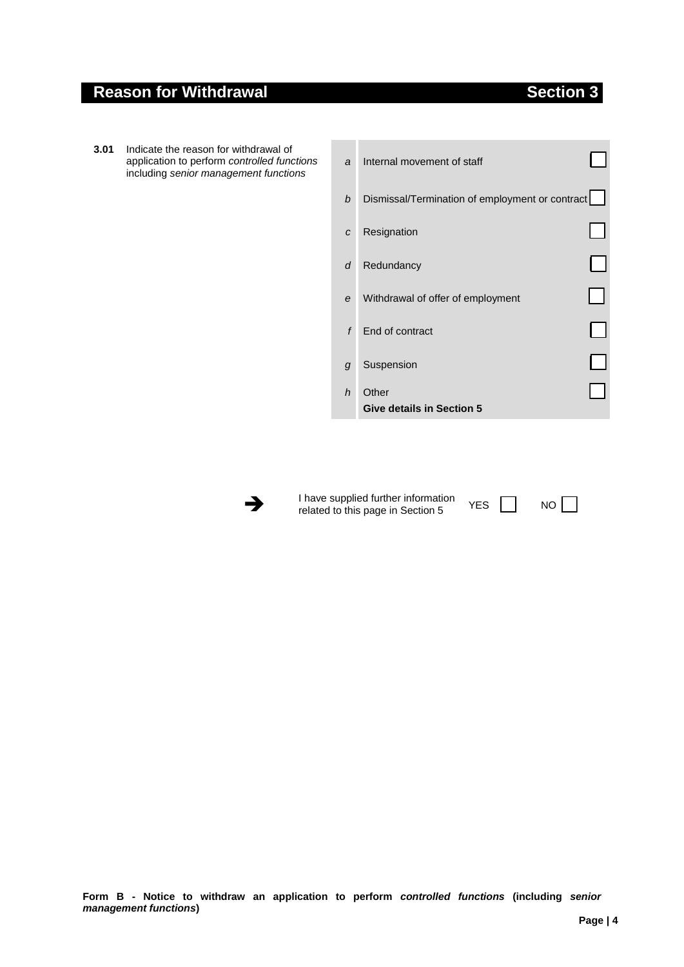## **Reason for Withdrawal Section 3**

- **3.01** Indicate the reason for withdrawal of application to perform *controlled functions* including *senior management functions*
- *a* Internal movement of staff *b* Dismissal/Termination of employment or contract *c* Resignation 0000 *d* Redundancy *e* Withdrawal of offer of employment *f* End of contract *g* Suspension *h* Other **Give details in Section 5**



**1** have supplied further information<br>
related to this page in Section 5 YES NO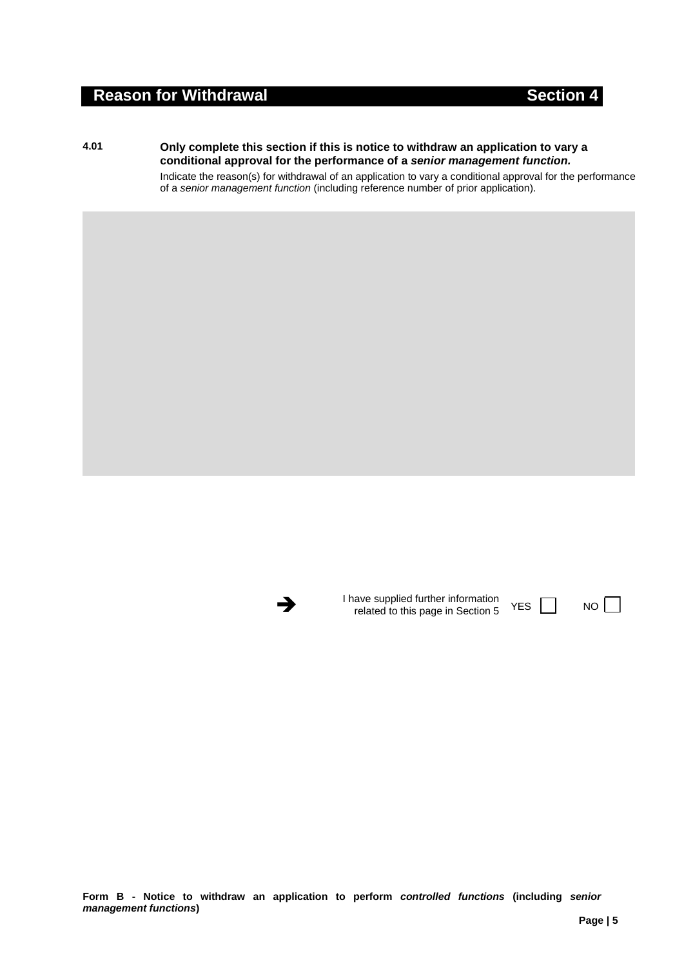## **Reason for Withdrawal Section 4**

**4.01 Only complete this section if this is notice to withdraw an application to vary a conditional approval for the performance of a** *senior management function.*

> Indicate the reason(s) for withdrawal of an application to vary a conditional approval for the performance of a *senior management function* (including reference number of prior application).



I have supplied further information<br>
related to this page in Section 5 YES NO

**Form B - Notice to withdraw an application to perform** *controlled functions* **(including** *senior management functions***)**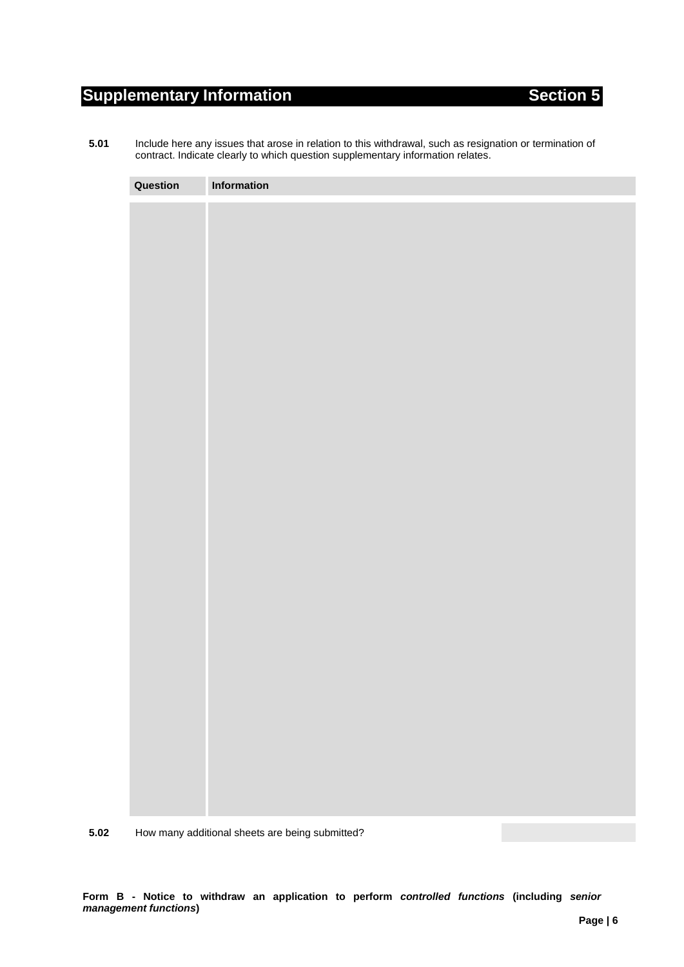# **Supplementary Information Section 5** Section 5

**5.01** Include here any issues that arose in relation to this withdrawal, such as resignation or termination of contract. Indicate clearly to which question supplementary information relates.

| Question | Information |
|----------|-------------|
|          |             |
|          |             |
|          |             |
|          |             |
|          |             |
|          |             |
|          |             |
|          |             |
|          |             |
|          |             |
|          |             |
|          |             |
|          |             |
|          |             |
|          |             |
|          |             |
|          |             |
|          |             |
|          |             |
|          |             |
|          |             |
|          |             |
|          |             |
|          |             |
|          |             |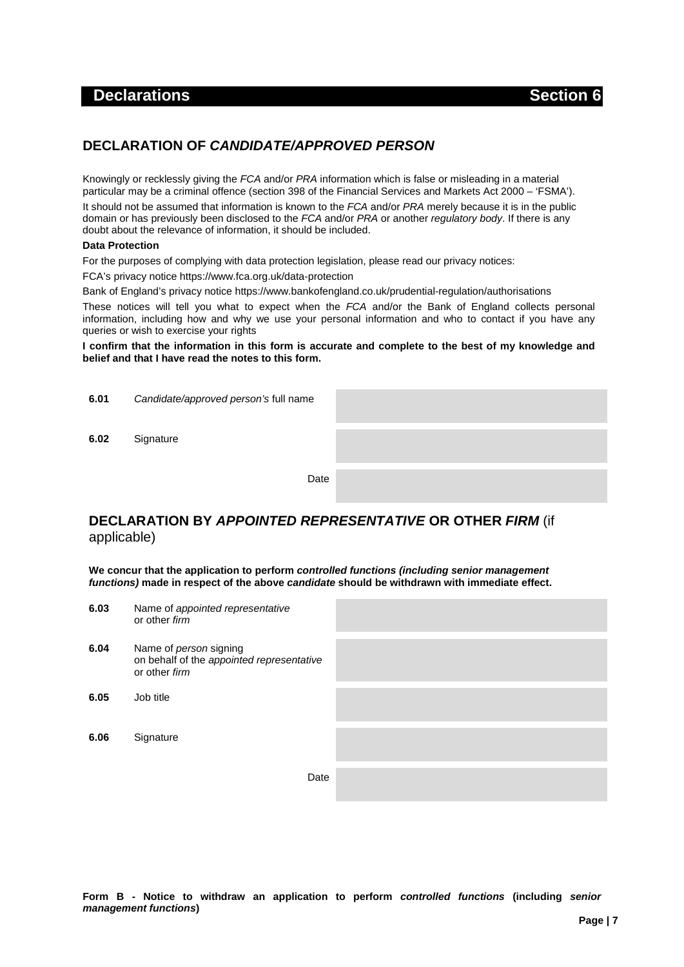## **Declarations** Section 6

## **DECLARATION OF** *CANDIDATE/APPROVED PERSON*

Knowingly or recklessly giving the *FCA* and/or *PRA* information which is false or misleading in a material particular may be a criminal offence (section 398 of the Financial Services and Markets Act 2000 – 'FSMA').

It should not be assumed that information is known to the *FCA* and/or *PRA* merely because it is in the public domain or has previously been disclosed to the *FCA* and/or *PRA* or another *regulatory body*. If there is any doubt about the relevance of information, it should be included.

#### **Data Protection**

For the purposes of complying with data protection legislation, please read our privacy notices:

FCA's privacy notice https://www.fca.org.uk/data-protection

Bank of England's privacy notice https://www.bankofengland.co.uk/prudential-regulation/authorisations

These notices will tell you what to expect when the *FCA* and/or the Bank of England collects personal information, including how and why we use your personal information and who to contact if you have any queries or wish to exercise your rights

**I confirm that the information in this form is accurate and complete to the best of my knowledge and belief and that I have read the notes to this form.**

| 6.01 | Candidate/approved person's full name |  |
|------|---------------------------------------|--|
| 6.02 | Signature                             |  |
|      | Date                                  |  |

## **DECLARATION BY** *APPOINTED REPRESENTATIVE* **OR OTHER** *FIRM* (if applicable)

**We concur that the application to perform** *controlled functions (including senior management functions)* **made in respect of the above** *candidate* **should be withdrawn with immediate effect.**

| 6.03 | Name of appointed representative<br>or other firm                                           |  |
|------|---------------------------------------------------------------------------------------------|--|
| 6.04 | Name of <i>person</i> signing<br>on behalf of the appointed representative<br>or other firm |  |
| 6.05 | Job title                                                                                   |  |
| 6.06 | Signature                                                                                   |  |
|      | Date                                                                                        |  |